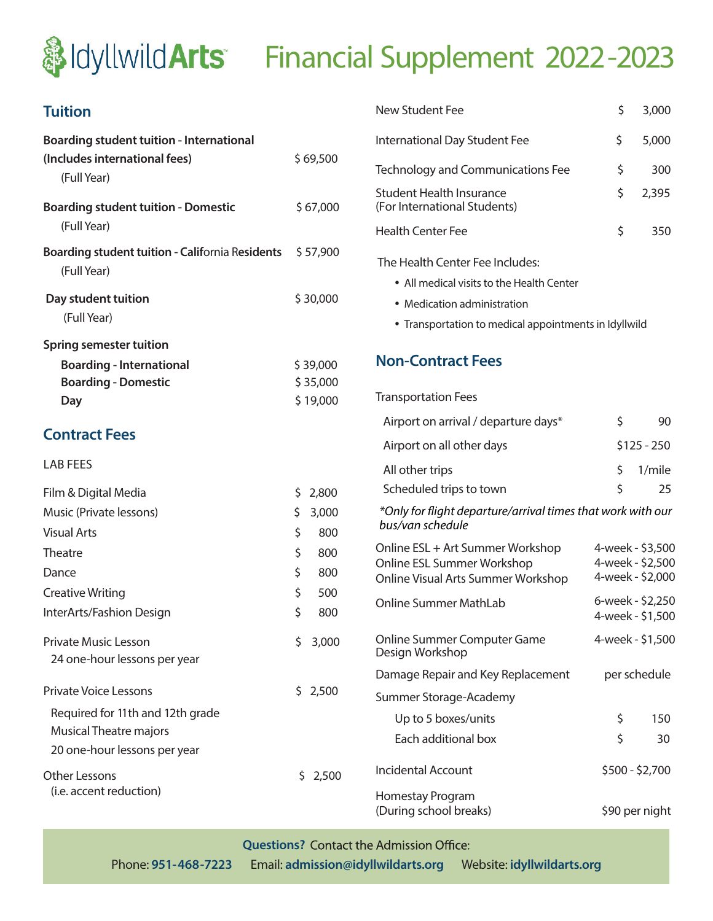# **&IdyllwildArts** Financial Supplement 2022-2023

## **Tuition**

| <b>Boarding student tuition - International</b>                       |          |                                      | International Day Student Fee                                            | \$                                   | 5,000                 |
|-----------------------------------------------------------------------|----------|--------------------------------------|--------------------------------------------------------------------------|--------------------------------------|-----------------------|
| (Includes international fees)<br>(Full Year)                          | \$69,500 |                                      | <b>Technology and Communications Fee</b>                                 | \$                                   | 300                   |
| <b>Boarding student tuition - Domestic</b>                            |          | \$67,000                             | <b>Student Health Insurance</b><br>(For International Students)          | \$                                   | 2,395                 |
| (Full Year)                                                           |          |                                      | <b>Health Center Fee</b>                                                 | \$                                   | 350                   |
| <b>Boarding student tuition - California Residents</b><br>(Full Year) |          | \$57,900                             | The Health Center Fee Includes:                                          |                                      |                       |
| Day student tuition                                                   |          | \$30,000                             | • All medical visits to the Health Center<br>• Medication administration |                                      |                       |
| (Full Year)                                                           |          |                                      | • Transportation to medical appointments in Idyllwild                    |                                      |                       |
| <b>Spring semester tuition</b>                                        |          |                                      |                                                                          |                                      |                       |
| <b>Boarding - International</b>                                       |          | <b>Non-Contract Fees</b><br>\$39,000 |                                                                          |                                      |                       |
| <b>Boarding - Domestic</b>                                            |          | \$35,000                             |                                                                          |                                      |                       |
| Day                                                                   |          | \$19,000                             | <b>Transportation Fees</b>                                               |                                      |                       |
|                                                                       |          |                                      | Airport on arrival / departure days*                                     | \$                                   | 90                    |
| <b>Contract Fees</b>                                                  |          |                                      | Airport on all other days<br>$$125 - 250$                                |                                      |                       |
| <b>LAB FEES</b>                                                       |          |                                      | All other trips                                                          | \$                                   | 1/mile                |
| Film & Digital Media                                                  | \$.      | 2,800                                | Scheduled trips to town                                                  | \$                                   | 25                    |
| Music (Private lessons)                                               | \$       | 3,000                                | *Only for flight departure/arrival times that work with our              |                                      |                       |
| <b>Visual Arts</b>                                                    | \$       | 800                                  | bus/van schedule                                                         |                                      |                       |
| Theatre                                                               | \$       | 800                                  | Online ESL + Art Summer Workshop                                         | 4-week - \$3,500                     |                       |
| Dance                                                                 | \$       | 800                                  | Online ESL Summer Workshop<br>Online Visual Arts Summer Workshop         | 4-week - \$2,500<br>4-week - \$2,000 |                       |
| <b>Creative Writing</b>                                               | \$       | 500                                  |                                                                          |                                      |                       |
| InterArts/Fashion Design                                              | \$       | 800                                  | <b>Online Summer MathLab</b>                                             | 6-week - \$2,250<br>4-week - \$1,500 |                       |
| <b>Private Music Lesson</b><br>24 one-hour lessons per year           | \$       | 3,000                                | Online Summer Computer Game<br>Design Workshop                           | 4-week - \$1,500                     |                       |
|                                                                       |          |                                      | Damage Repair and Key Replacement                                        |                                      | per schedule          |
| <b>Private Voice Lessons</b>                                          |          | \$2,500                              | Summer Storage-Academy                                                   |                                      |                       |
| Required for 11th and 12th grade                                      |          |                                      | Up to 5 boxes/units                                                      | \$                                   | 150                   |
| <b>Musical Theatre majors</b>                                         |          |                                      | Each additional box                                                      | \$                                   | 30                    |
| 20 one-hour lessons per year                                          |          |                                      |                                                                          |                                      |                       |
| <b>Other Lessons</b>                                                  |          | \$2,500                              | <b>Incidental Account</b>                                                |                                      | \$500 - \$2,700       |
| (i.e. accent reduction)                                               |          |                                      | Homestay Program<br>امراموسوا لممطوم سمنسرا                              |                                      | $\zeta$ 00 may nialat |

| <b>New Student Fee</b>                                                                               | \$               | 3,000                                                    |  |  |  |  |  |
|------------------------------------------------------------------------------------------------------|------------------|----------------------------------------------------------|--|--|--|--|--|
| International Day Student Fee                                                                        | \$               | 5,000                                                    |  |  |  |  |  |
| <b>Technology and Communications Fee</b>                                                             | \$               | 300                                                      |  |  |  |  |  |
| <b>Student Health Insurance</b><br>(For International Students)                                      | \$               | 2,395                                                    |  |  |  |  |  |
| <b>Health Center Fee</b>                                                                             | \$               | 350                                                      |  |  |  |  |  |
| The Health Center Fee Includes:                                                                      |                  |                                                          |  |  |  |  |  |
| $\bullet\,$ All medical visits to the Health Center                                                  |                  |                                                          |  |  |  |  |  |
| • Medication administration                                                                          |                  |                                                          |  |  |  |  |  |
| • Transportation to medical appointments in Idyllwild                                                |                  |                                                          |  |  |  |  |  |
|                                                                                                      |                  |                                                          |  |  |  |  |  |
| <b>Non-Contract Fees</b>                                                                             |                  |                                                          |  |  |  |  |  |
| <b>Transportation Fees</b>                                                                           |                  |                                                          |  |  |  |  |  |
| Airport on arrival / departure days*                                                                 | \$               | 90                                                       |  |  |  |  |  |
| Airport on all other days                                                                            | $$125 - 250$     |                                                          |  |  |  |  |  |
| All other trips                                                                                      | \$               | 1/mile                                                   |  |  |  |  |  |
| Scheduled trips to town                                                                              | \$               | 25                                                       |  |  |  |  |  |
| *Only for flight departure/arrival times that work with our<br>bus/van schedule                      |                  |                                                          |  |  |  |  |  |
| Online ESL + Art Summer Workshop<br>Online ESL Summer Workshop<br>Online Visual Arts Summer Workshop |                  | 4-week - \$3,500<br>4-week - \$2,500<br>4-week - \$2,000 |  |  |  |  |  |
| 6-week - \$2,250<br><b>Online Summer MathLab</b><br>4-week - \$1,500                                 |                  |                                                          |  |  |  |  |  |
| Online Summer Computer Game<br>Design Workshop                                                       | 4-week - \$1,500 |                                                          |  |  |  |  |  |
| Damage Repair and Key Replacement                                                                    | per schedule     |                                                          |  |  |  |  |  |
| Summer Storage-Academy                                                                               |                  |                                                          |  |  |  |  |  |
| Up to 5 boxes/units                                                                                  | \$               | 150                                                      |  |  |  |  |  |
| Each additional box                                                                                  | \$               | 30                                                       |  |  |  |  |  |
|                                                                                                      |                  |                                                          |  |  |  |  |  |

ogram (During school breaks) \$90 per night

**Questions?** Contact the Admission Office:

Phone: **951-468-7223** Email: **admission@idyllwildarts.org** Website: **idyllwildarts.org**